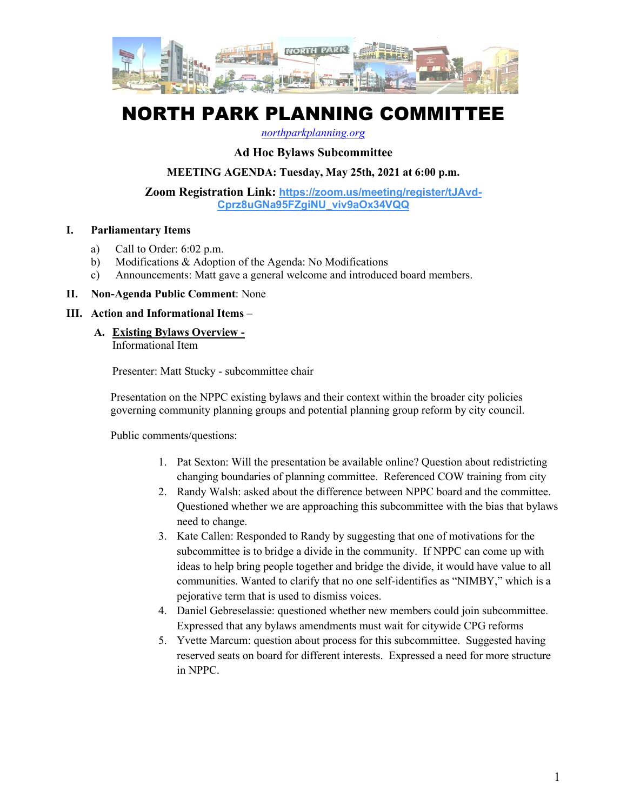

# NORTH PARK PLANNING COMMITTEE

#### *[northparkplanning.org](http://www.northparkplanning.org/)*

# **Ad Hoc Bylaws Subcommittee**

#### **MEETING AGENDA: Tuesday, May 25th, 2021 at 6:00 p.m.**

**Zoom Registration Link: [https://zoom.us/meeting/register/tJAvd-](https://zoom.us/meeting/register/tJAvd-Cprz8uGNa95FZgiNU_viv9aOx34VQQ)[Cprz8uGNa95FZgiNU\\_viv9aOx34VQQ](https://zoom.us/meeting/register/tJAvd-Cprz8uGNa95FZgiNU_viv9aOx34VQQ)**

#### **I. Parliamentary Items**

- a) Call to Order: 6:02 p.m.
- b) Modifications & Adoption of the Agenda: No Modifications
- c) Announcements: Matt gave a general welcome and introduced board members.

### **II. Non-Agenda Public Comment**: None

#### **III. Action and Informational Items** –

**A. Existing Bylaws Overview -**

Informational Item

Presenter: Matt Stucky - subcommittee chair

Presentation on the NPPC existing bylaws and their context within the broader city policies governing community planning groups and potential planning group reform by city council.

Public comments/questions:

- 1. Pat Sexton: Will the presentation be available online? Question about redistricting changing boundaries of planning committee. Referenced COW training from city
- 2. Randy Walsh: asked about the difference between NPPC board and the committee. Questioned whether we are approaching this subcommittee with the bias that bylaws need to change.
- 3. Kate Callen: Responded to Randy by suggesting that one of motivations for the subcommittee is to bridge a divide in the community. If NPPC can come up with ideas to help bring people together and bridge the divide, it would have value to all communities. Wanted to clarify that no one self-identifies as "NIMBY," which is a pejorative term that is used to dismiss voices.
- 4. Daniel Gebreselassie: questioned whether new members could join subcommittee. Expressed that any bylaws amendments must wait for citywide CPG reforms
- 5. Yvette Marcum: question about process for this subcommittee. Suggested having reserved seats on board for different interests. Expressed a need for more structure in NPPC.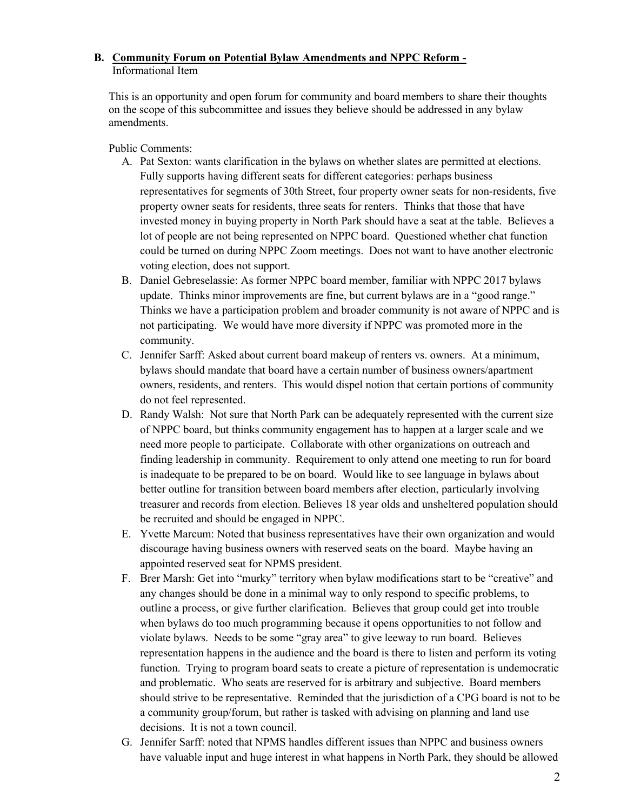# **B. Community Forum on Potential Bylaw Amendments and NPPC Reform -** Informational Item

This is an opportunity and open forum for community and board members to share their thoughts on the scope of this subcommittee and issues they believe should be addressed in any bylaw amendments.

Public Comments:

- A. Pat Sexton: wants clarification in the bylaws on whether slates are permitted at elections. Fully supports having different seats for different categories: perhaps business representatives for segments of 30th Street, four property owner seats for non-residents, five property owner seats for residents, three seats for renters. Thinks that those that have invested money in buying property in North Park should have a seat at the table. Believes a lot of people are not being represented on NPPC board. Questioned whether chat function could be turned on during NPPC Zoom meetings. Does not want to have another electronic voting election, does not support.
- B. Daniel Gebreselassie: As former NPPC board member, familiar with NPPC 2017 bylaws update. Thinks minor improvements are fine, but current bylaws are in a "good range." Thinks we have a participation problem and broader community is not aware of NPPC and is not participating. We would have more diversity if NPPC was promoted more in the community.
- C. Jennifer Sarff: Asked about current board makeup of renters vs. owners. At a minimum, bylaws should mandate that board have a certain number of business owners/apartment owners, residents, and renters. This would dispel notion that certain portions of community do not feel represented.
- D. Randy Walsh: Not sure that North Park can be adequately represented with the current size of NPPC board, but thinks community engagement has to happen at a larger scale and we need more people to participate. Collaborate with other organizations on outreach and finding leadership in community. Requirement to only attend one meeting to run for board is inadequate to be prepared to be on board. Would like to see language in bylaws about better outline for transition between board members after election, particularly involving treasurer and records from election. Believes 18 year olds and unsheltered population should be recruited and should be engaged in NPPC.
- E. Yvette Marcum: Noted that business representatives have their own organization and would discourage having business owners with reserved seats on the board. Maybe having an appointed reserved seat for NPMS president.
- F. Brer Marsh: Get into "murky" territory when bylaw modifications start to be "creative" and any changes should be done in a minimal way to only respond to specific problems, to outline a process, or give further clarification. Believes that group could get into trouble when bylaws do too much programming because it opens opportunities to not follow and violate bylaws. Needs to be some "gray area" to give leeway to run board. Believes representation happens in the audience and the board is there to listen and perform its voting function. Trying to program board seats to create a picture of representation is undemocratic and problematic. Who seats are reserved for is arbitrary and subjective. Board members should strive to be representative. Reminded that the jurisdiction of a CPG board is not to be a community group/forum, but rather is tasked with advising on planning and land use decisions. It is not a town council.
- G. Jennifer Sarff: noted that NPMS handles different issues than NPPC and business owners have valuable input and huge interest in what happens in North Park, they should be allowed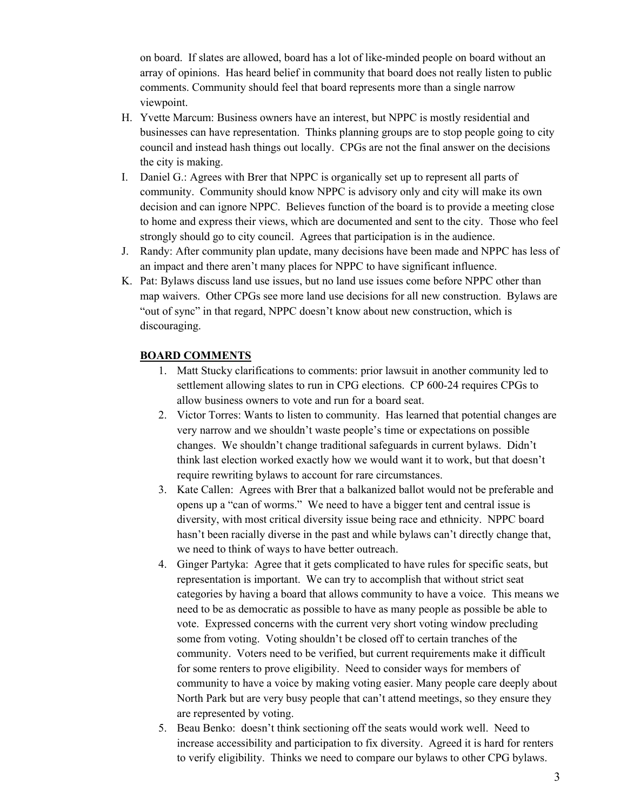on board. If slates are allowed, board has a lot of like-minded people on board without an array of opinions. Has heard belief in community that board does not really listen to public comments. Community should feel that board represents more than a single narrow viewpoint.

- H. Yvette Marcum: Business owners have an interest, but NPPC is mostly residential and businesses can have representation. Thinks planning groups are to stop people going to city council and instead hash things out locally. CPGs are not the final answer on the decisions the city is making.
- I. Daniel G.: Agrees with Brer that NPPC is organically set up to represent all parts of community. Community should know NPPC is advisory only and city will make its own decision and can ignore NPPC. Believes function of the board is to provide a meeting close to home and express their views, which are documented and sent to the city. Those who feel strongly should go to city council. Agrees that participation is in the audience.
- J. Randy: After community plan update, many decisions have been made and NPPC has less of an impact and there aren't many places for NPPC to have significant influence.
- K. Pat: Bylaws discuss land use issues, but no land use issues come before NPPC other than map waivers. Other CPGs see more land use decisions for all new construction. Bylaws are "out of sync" in that regard, NPPC doesn't know about new construction, which is discouraging.

### **BOARD COMMENTS**

- 1. Matt Stucky clarifications to comments: prior lawsuit in another community led to settlement allowing slates to run in CPG elections. CP 600-24 requires CPGs to allow business owners to vote and run for a board seat.
- 2. Victor Torres: Wants to listen to community. Has learned that potential changes are very narrow and we shouldn't waste people's time or expectations on possible changes. We shouldn't change traditional safeguards in current bylaws. Didn't think last election worked exactly how we would want it to work, but that doesn't require rewriting bylaws to account for rare circumstances.
- 3. Kate Callen: Agrees with Brer that a balkanized ballot would not be preferable and opens up a "can of worms." We need to have a bigger tent and central issue is diversity, with most critical diversity issue being race and ethnicity. NPPC board hasn't been racially diverse in the past and while bylaws can't directly change that, we need to think of ways to have better outreach.
- 4. Ginger Partyka: Agree that it gets complicated to have rules for specific seats, but representation is important. We can try to accomplish that without strict seat categories by having a board that allows community to have a voice. This means we need to be as democratic as possible to have as many people as possible be able to vote. Expressed concerns with the current very short voting window precluding some from voting. Voting shouldn't be closed off to certain tranches of the community. Voters need to be verified, but current requirements make it difficult for some renters to prove eligibility. Need to consider ways for members of community to have a voice by making voting easier. Many people care deeply about North Park but are very busy people that can't attend meetings, so they ensure they are represented by voting.
- 5. Beau Benko: doesn't think sectioning off the seats would work well. Need to increase accessibility and participation to fix diversity. Agreed it is hard for renters to verify eligibility. Thinks we need to compare our bylaws to other CPG bylaws.